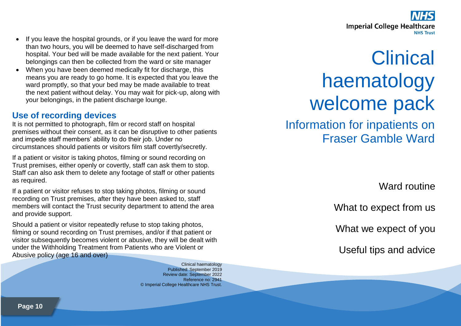

- If you leave the hospital grounds, or if you leave the ward for more than two hours, you will be deemed to have self-discharged from hospital. Your bed will be made available for the next patient. Your belongings can then be collected from the ward or site manager
- When you have been deemed medically fit for discharge, this means you are ready to go home. It is expected that you leave the ward promptly, so that your bed may be made available to treat the next patient without delay. You may wait for pick-up, along with your belongings, in the patient discharge lounge.

#### **Use of recording devices**

It is not permitted to photograph, film or record staff on hospital premises without their consent, as it can be disruptive to other patients and impede staff members' ability to do their job. Under no circumstances should patients or visitors film staff covertly/secretly.

If a patient or visitor is taking photos, filming or sound recording on Trust premises, either openly or covertly, staff can ask them to stop. Staff can also ask them to delete any footage of staff or other patients as required.

If a patient or visitor refuses to stop taking photos, filming or sound recording on Trust premises, after they have been asked to, staff members will contact the Trust security department to attend the area and provide support.

Should a patient or visitor repeatedly refuse to stop taking photos, filming or sound recording on Trust premises, and/or if that patient or visitor subsequently becomes violent or abusive, they will be dealt with under the Withholding Treatment from Patients who are Violent or Abusive policy (age 16 and over)

> Clinical haematology Published: September 2019 Review date: September 2022 Reference no: 2941 © Imperial College Healthcare NHS Trust.

# **Clinical** haematology welcome pack

Information for inpatients on Fraser Gamble Ward

Ward routine

What to expect from us

What we expect of you

Useful tips and advice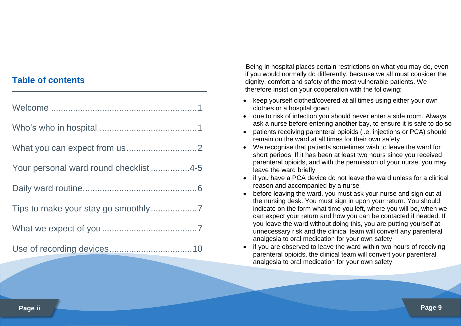#### **Table of contents**

| Your personal ward round checklist 4-5 |
|----------------------------------------|
|                                        |
|                                        |
|                                        |
|                                        |

Being in hospital places certain restrictions on what you may do, even if you would normally do differently, because we all must consider the dignity, comfort and safety of the most vulnerable patients. We therefore insist on your cooperation with the following:

- keep yourself clothed/covered at all times using either your own clothes or a hospital gown
- due to risk of infection you should never enter a side room. Always ask a nurse before entering another bay, to ensure it is safe to do so
- patients receiving parenteral opioids (i.e. injections or PCA) should remain on the ward at all times for their own safety
- We recognise that patients sometimes wish to leave the ward for short periods. If it has been at least two hours since you received parenteral opioids, and with the permission of your nurse, you may leave the ward briefly
- if you have a PCA device do not leave the ward unless for a clinical reason and accompanied by a nurse
- before leaving the ward, you must ask your nurse and sign out at the nursing desk. You must sign in upon your return. You should indicate on the form what time you left, where you will be, when we can expect your return and how you can be contacted if needed. If you leave the ward without doing this, you are putting yourself at unnecessary risk and the clinical team will convert any parenteral analgesia to oral medication for your own safety
- if you are observed to leave the ward within two hours of receiving parenteral opioids, the clinical team will convert your parenteral analgesia to oral medication for your own safety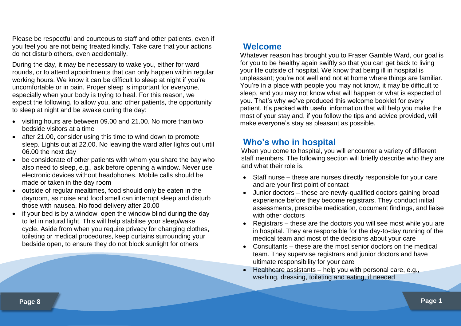Please be respectful and courteous to staff and other patients, even if you feel you are not being treated kindly. Take care that your actions do not disturb others, even accidentally.

During the day, it may be necessary to wake you, either for ward rounds, or to attend appointments that can only happen within regular working hours. We know it can be difficult to sleep at night if you're uncomfortable or in pain. Proper sleep is important for everyone, especially when your body is trying to heal. For this reason, we expect the following, to allow you, and other patients, the opportunity to sleep at night and be awake during the day:

- visiting hours are between 09.00 and 21.00. No more than two bedside visitors at a time
- after 21.00, consider using this time to wind down to promote sleep. Lights out at 22.00. No leaving the ward after lights out until 06.00 the next day
- be considerate of other patients with whom you share the bay who also need to sleep, e.g., ask before opening a window. Never use electronic devices without headphones. Mobile calls should be made or taken in the day room
- outside of regular mealtimes, food should only be eaten in the dayroom, as noise and food smell can interrupt sleep and disturb those with nausea. No food delivery after 20.00
- if your bed is by a window, open the window blind during the day to let in natural light. This will help stabilise your sleep/wake cycle. Aside from when you require privacy for changing clothes, toileting or medical procedures, keep curtains surrounding your bedside open, to ensure they do not block sunlight for others

## **Welcome**

Whatever reason has brought you to Fraser Gamble Ward, our goal is for you to be healthy again swiftly so that you can get back to living your life outside of hospital. We know that being ill in hospital is unpleasant; you're not well and not at home where things are familiar. You're in a place with people you may not know, it may be difficult to sleep, and you may not know what will happen or what is expected of you. That's why we've produced this welcome booklet for every patient. It's packed with useful information that will help you make the most of your stay and, if you follow the tips and advice provided, will make everyone's stay as pleasant as possible.

## **Who's who in hospital**

When you come to hospital, you will encounter a variety of different staff members. The following section will briefly describe who they are and what their role is.

- Staff nurse these are nurses directly responsible for your care and are your first point of contact
- Junior doctors these are newly-qualified doctors gaining broad experience before they become registrars. They conduct initial assessments, prescribe medication, document findings, and liaise with other doctors
- Registrars these are the doctors you will see most while you are in hospital. They are responsible for the day-to-day running of the medical team and most of the decisions about your care
- Consultants these are the most senior doctors on the medical team. They supervise registrars and junior doctors and have ultimate responsibility for your care
- Healthcare assistants help you with personal care, e.g., washing, dressing, toileting and eating, if needed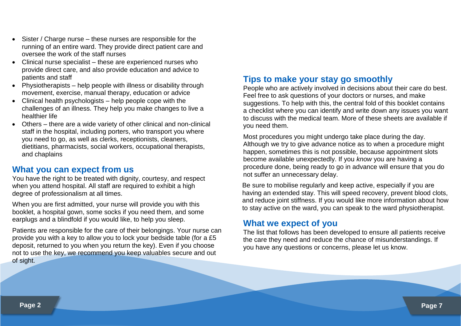- Sister / Charge nurse these nurses are responsible for the running of an entire ward. They provide direct patient care and oversee the work of the staff nurses
- Clinical nurse specialist these are experienced nurses who provide direct care, and also provide education and advice to patients and staff
- Physiotherapists help people with illness or disability through movement, exercise, manual therapy, education or advice
- Clinical health psychologists help people cope with the challenges of an illness. They help you make changes to live a healthier life
- Others there are a wide variety of other clinical and non-clinical staff in the hospital, including porters, who transport you where you need to go, as well as clerks, receptionists, cleaners, dietitians, pharmacists, social workers, occupational therapists, and chaplains

## **What you can expect from us**

You have the right to be treated with dignity, courtesy, and respect when you attend hospital. All staff are required to exhibit a high degree of professionalism at all times.

When you are first admitted, your nurse will provide you with this booklet, a hospital gown, some socks if you need them, and some earplugs and a blindfold if you would like, to help you sleep.

Patients are responsible for the care of their belongings. Your nurse can provide you with a key to allow you to lock your bedside table (for a £5 deposit, returned to you when you return the key). Even if you choose not to use the key, we recommend you keep valuables secure and out of sight.

## **Tips to make your stay go smoothly**

People who are actively involved in decisions about their care do best. Feel free to ask questions of your doctors or nurses, and make suggestions. To help with this, the central fold of this booklet contains a checklist where you can identify and write down any issues you want to discuss with the medical team. More of these sheets are available if you need them.

Most procedures you might undergo take place during the day. Although we try to give advance notice as to when a procedure might happen, sometimes this is not possible, because appointment slots become available unexpectedly. If you *know* you are having a procedure done, being ready to go in advance will ensure that you do not suffer an unnecessary delay.

Be sure to mobilise regularly and keep active, especially if you are having an extended stay. This will speed recovery, prevent blood clots, and reduce joint stiffness. If you would like more information about how to stay active on the ward, you can speak to the ward physiotherapist.

#### **What we expect of you**

The list that follows has been developed to ensure all patients receive the care they need and reduce the chance of misunderstandings. If you have any questions or concerns, please let us know.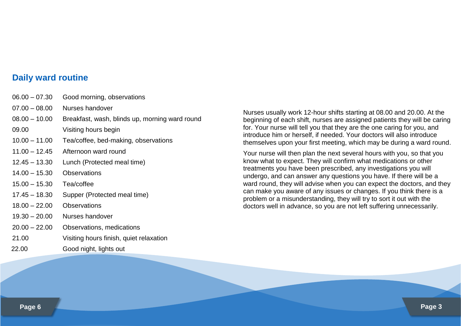#### **Daily ward routine**

| $06.00 - 07.30$ | Good morning, observations                     |  |  |
|-----------------|------------------------------------------------|--|--|
| $07.00 - 08.00$ | Nurses handover                                |  |  |
| $08.00 - 10.00$ | Breakfast, wash, blinds up, morning ward round |  |  |
| 09.00           | Visiting hours begin                           |  |  |
| $10.00 - 11.00$ | Tea/coffee, bed-making, observations           |  |  |
| $11.00 - 12.45$ | Afternoon ward round                           |  |  |
| $12.45 - 13.30$ | Lunch (Protected meal time)                    |  |  |
| $14.00 - 15.30$ | <b>Observations</b>                            |  |  |
| $15.00 - 15.30$ | Tea/coffee                                     |  |  |
| $17.45 - 18.30$ | Supper (Protected meal time)                   |  |  |
| $18.00 - 22.00$ | Observations                                   |  |  |
| $19.30 - 20.00$ | Nurses handover                                |  |  |
| $20.00 - 22.00$ | Observations, medications                      |  |  |
| 21.00           | Visiting hours finish, quiet relaxation        |  |  |
| 22.00           | Good night, lights out                         |  |  |
|                 |                                                |  |  |

Nurses usually work 12-hour shifts starting at 08.00 and 20.00. At the beginning of each shift, nurses are assigned patients they will be caring for. Your nurse will tell you that they are the one caring for you, and introduce him or herself, if needed. Your doctors will also introduce themselves upon your first meeting, which may be during a ward round.

Your nurse will then plan the next several hours with you, so that you know what to expect. They will confirm what medications or other treatments you have been prescribed, any investigations you will undergo, and can answer any questions you have. If there will be a ward round, they will advise when you can expect the doctors, and they can make you aware of any issues or changes. If you think there is a problem or a misunderstanding, they will try to sort it out with the doctors well in advance, so you are not left suffering unnecessarily.